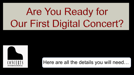# Are You Ready for Our First Digital Concert?



Here are all the details you will need…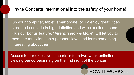## Invite Concerts International into the safety of your home!

On your computer, tablet, smartphone, or TV enjoy great video streamed concerts in high definition and with excellent sound. Plus our bonus feature, "*Intermission & More*", will let you to meet the musicians on a personal level and learn something interesting about them.

Access to our exclusive concerts is for a two-week unlimited viewing period beginning on the first night of the concert.

HOW IT WORKS…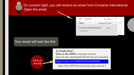• On concert night, you will receive an email from Concerts International **Open the email** 



| September 29, 2020 |  |
|--------------------|--|

By Date  $\sim$  1

7:30pm

**Concerts International CONCERT LINK** 

Unread

#### Your email will look like this:

It's Finally Here! Click on the LINK to view your concert: (you can also copy & paste the link into your browser)

Click on **https://vimeo.com/448341295/146e908181**<br>the link

*(note: this is NOT the concert link; only a test link )*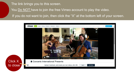# The link brings you to this screen. You Do NOT have to join the free Vimeo account to play the video. If you do not want to join, then click the "X" at the bottom left of your screen.

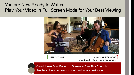# You are Now Ready to Watch Play Your Video in Full Screen Mode for Your Best Viewing



Move Mouse Over Bottom of Screen to See Play Controls Use the volume controls on your device to adjust sound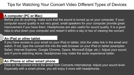## Tips for Watching Your Concert Video Different Types of Devices

## **A computer (PC or Mac)**

Before you do anything, make sure that the sound is turned up on your computer. If your computer sound quality is not very good, small speakers for your computer provide great improvement if you have them. Headphones are also useful for sound quality. It is a good idea to shut down your computer and restart it within a day or two of viewing the concert.

## **An iPad or other tablet**

If you have access to your email on your iPad or tablet, click the video link in the email and watch. If not, type the concert link into the web browser on your iPad or tablet (examples: Safari, Internet Explorer, Google Chrome, Opera, Microsoft Edge, etc.) Adjust your sound and if you're watching alone, headphones may make the audio experience better.

## **An iPhone or other smart phone**

Click on the concert link in the email from Concerts International. Adjust your sound level. Especially with a smart phone, you will enjoy it more with headphones.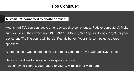# Tips Continued

## **A Smart TV, connected to another device**

Most smart TVs can connect to other devices (like cell phones, iPads or computers). Make sure you select the correct input ("HDMI-1", "HDMI-2", "AirPlay", or "GooglePlay") for your device and TV. The sound will be significantly better if your tv is connected to stereo speakers.

Another simple way to connect your laptop to your smart TV is with an HDMI cable.

Here's a good link to give you more specific advice

[how-to/how-to-connect-your-laptop-to-your-tv-wirelessly-or-with-hdmi](https://www.cnet.com/how-to/how-to-connect-your-laptop-to-your-tv-wirelessly-or-with-hdmi/)